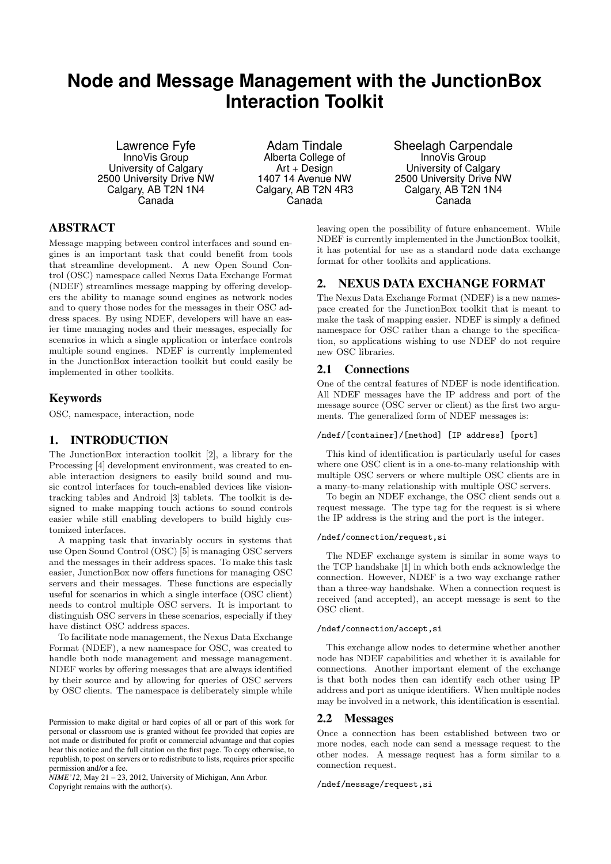# **Node and Message Management with the JunctionBox Interaction Toolkit**

Lawrence Fyfe InnoVis Group University of Calgary 2500 University Drive NW Calgary, AB T2N 1N4 Canada

Adam Tindale Alberta College of Art + Design 1407 14 Avenue NW Calgary, AB T2N 4R3 Canada

Sheelagh Carpendale InnoVis Group University of Calgary 2500 University Drive NW Calgary, AB T2N 1N4 Canada

# ABSTRACT

Message mapping between control interfaces and sound engines is an important task that could benefit from tools that streamline development. A new Open Sound Control (OSC) namespace called Nexus Data Exchange Format (NDEF) streamlines message mapping by offering developers the ability to manage sound engines as network nodes and to query those nodes for the messages in their OSC address spaces. By using NDEF, developers will have an easier time managing nodes and their messages, especially for scenarios in which a single application or interface controls multiple sound engines. NDEF is currently implemented in the JunctionBox interaction toolkit but could easily be implemented in other toolkits.

# Keywords

OSC, namespace, interaction, node

## 1. INTRODUCTION

The JunctionBox interaction toolkit [2], a library for the Processing [4] development environment, was created to enable interaction designers to easily build sound and music control interfaces for touch-enabled devices like visiontracking tables and Android [3] tablets. The toolkit is designed to make mapping touch actions to sound controls easier while still enabling developers to build highly customized interfaces.

A mapping task that invariably occurs in systems that use Open Sound Control (OSC) [5] is managing OSC servers and the messages in their address spaces. To make this task easier, JunctionBox now offers functions for managing OSC servers and their messages. These functions are especially useful for scenarios in which a single interface (OSC client) needs to control multiple OSC servers. It is important to distinguish OSC servers in these scenarios, especially if they have distinct OSC address spaces.

To facilitate node management, the Nexus Data Exchange Format (NDEF), a new namespace for OSC, was created to handle both node management and message management. NDEF works by offering messages that are always identified by their source and by allowing for queries of OSC servers by OSC clients. The namespace is deliberately simple while

*NIME'12,* May 21 – 23, 2012, University of Michigan, Ann Arbor. Copyright remains with the author(s).

leaving open the possibility of future enhancement. While NDEF is currently implemented in the JunctionBox toolkit, it has potential for use as a standard node data exchange format for other toolkits and applications.

# 2. NEXUS DATA EXCHANGE FORMAT

The Nexus Data Exchange Format (NDEF) is a new namespace created for the JunctionBox toolkit that is meant to make the task of mapping easier. NDEF is simply a defined namespace for OSC rather than a change to the specification, so applications wishing to use NDEF do not require new OSC libraries.

## 2.1 Connections

One of the central features of NDEF is node identification. All NDEF messages have the IP address and port of the message source (OSC server or client) as the first two arguments. The generalized form of NDEF messages is:

## /ndef/[container]/[method] [IP address] [port]

This kind of identification is particularly useful for cases where one OSC client is in a one-to-many relationship with multiple OSC servers or where multiple OSC clients are in a many-to-many relationship with multiple OSC servers.

To begin an NDEF exchange, the OSC client sends out a request message. The type tag for the request is si where the IP address is the string and the port is the integer.

### /ndef/connection/request,si

The NDEF exchange system is similar in some ways to the TCP handshake [1] in which both ends acknowledge the connection. However, NDEF is a two way exchange rather than a three-way handshake. When a connection request is received (and accepted), an accept message is sent to the OSC client.

#### /ndef/connection/accept,si

This exchange allow nodes to determine whether another node has NDEF capabilities and whether it is available for connections. Another important element of the exchange is that both nodes then can identify each other using IP address and port as unique identifiers. When multiple nodes may be involved in a network, this identification is essential.

## 2.2 Messages

Once a connection has been established between two or more nodes, each node can send a message request to the other nodes. A message request has a form similar to a connection request.

/ndef/message/request,si

Permission to make digital or hard copies of all or part of this work for personal or classroom use is granted without fee provided that copies are not made or distributed for profit or commercial advantage and that copies bear this notice and the full citation on the first page. To copy otherwise, to republish, to post on servers or to redistribute to lists, requires prior specific permission and/or a fee.